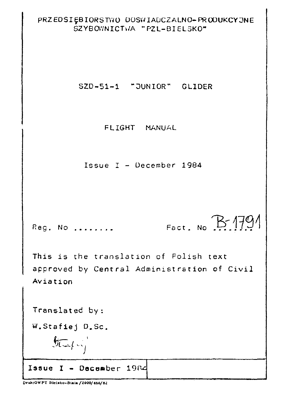#### PRZEDSIĘBIORSTWO DOSWIADCZALNO-PRODUKCYJNE SZYBOWNICTWA "PZ1-BIFLSKO"

SZD-51-1 "JUNIOR" GLIDER

FLIGHT MANUAL

Issue  $I - Decenter 1984$ 

Fact. No  $B$  1791 Req. No ........

This is the translation of Folish text approved by Central Administration of Civil Aviation

Translated by:

W.Stafiej D.Sc.

 $554 - 1$ 

Issue I - December 1984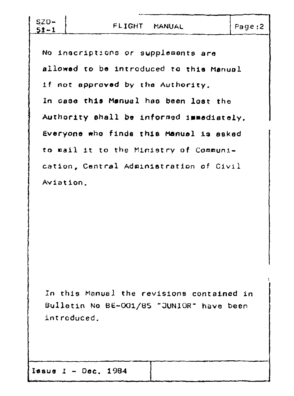| $SZD -$<br>$51 - 1$ | FLIGHT MANUAL                             | Page:2 |
|---------------------|-------------------------------------------|--------|
|                     |                                           |        |
|                     | No inscriptions or supplements are        |        |
|                     | allowed to be introduced to this Manual   |        |
|                     | if not approved by the Authority.         |        |
|                     | In case this Manual has been lost the     |        |
|                     | Authority shall be informed immediately.  |        |
|                     | Everyone who finds this Manual is asked   |        |
|                     | to mail it to the Ministry of Communi-    |        |
|                     | cation, Central Administration of Civil   |        |
| Aviation.           |                                           |        |
|                     |                                           |        |
|                     |                                           |        |
|                     |                                           |        |
|                     |                                           |        |
|                     |                                           |        |
|                     |                                           |        |
|                     |                                           |        |
|                     |                                           |        |
|                     |                                           |        |
|                     | In this Manual the revisions contained in |        |
|                     | Bulletin No BE-001/85 "JUNIOR" have been  |        |
|                     |                                           |        |
|                     | introduced.                               |        |
|                     |                                           |        |
|                     |                                           |        |
|                     |                                           |        |
|                     | Issue $I - Dec. 1984$                     |        |
|                     |                                           |        |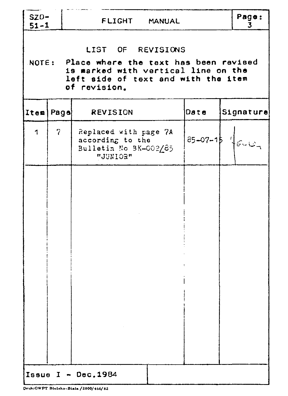| $SZD-$<br>$51 - 1$ | FLIGHT MANUAL                                                                                                                                                  |                                                                                |      |                    |  |
|--------------------|----------------------------------------------------------------------------------------------------------------------------------------------------------------|--------------------------------------------------------------------------------|------|--------------------|--|
|                    | LIST OF REVISIONS<br>NOTE: Place where the text has been revised<br>is marked with vertical line on the<br>left side of text and with the item<br>of revision. |                                                                                |      |                    |  |
|                    | Item Page                                                                                                                                                      | <b>REVISION</b>                                                                | Date | Signature          |  |
| 1                  | 7                                                                                                                                                              | Replaced with page 7A<br>according to the<br>Bulletin No BK-002/85<br>"JUNIOR" |      | $85-07-18$ $46-12$ |  |
|                    |                                                                                                                                                                |                                                                                |      |                    |  |
|                    |                                                                                                                                                                |                                                                                |      |                    |  |
|                    |                                                                                                                                                                |                                                                                |      |                    |  |
|                    |                                                                                                                                                                |                                                                                |      |                    |  |
|                    |                                                                                                                                                                |                                                                                |      |                    |  |
|                    |                                                                                                                                                                |                                                                                |      |                    |  |
|                    |                                                                                                                                                                | Issue $I - Dec.1984$                                                           |      |                    |  |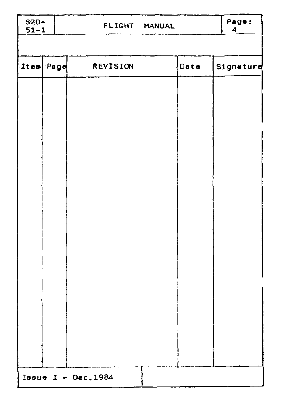| $SZD-$<br>$51 - 1$ | FLIGHT MANUAL       |      | Page:<br>$\boldsymbol{4}$ |
|--------------------|---------------------|------|---------------------------|
|                    |                     |      |                           |
| Item Page          | REVISION            | Date | Signature                 |
|                    |                     |      |                           |
|                    |                     |      |                           |
|                    |                     |      |                           |
|                    |                     |      |                           |
|                    |                     |      |                           |
|                    |                     |      |                           |
|                    |                     |      |                           |
|                    |                     |      |                           |
|                    |                     |      |                           |
|                    |                     |      |                           |
|                    |                     |      |                           |
|                    |                     |      |                           |
|                    |                     |      |                           |
|                    |                     |      |                           |
|                    | Issue I - Dec. 1984 |      |                           |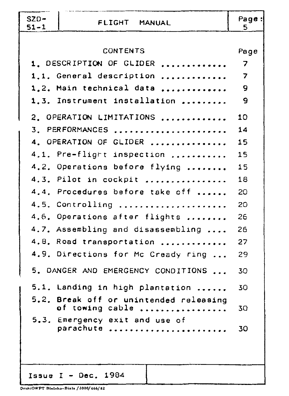| $SZD-$<br>$51 - 1$ | FLIGHT MANUAL                                             | Page:<br>5. |
|--------------------|-----------------------------------------------------------|-------------|
|                    |                                                           |             |
|                    | <b>CONTENTS</b>                                           | Page        |
|                    | 1. DESCRIPTION OF GLIDER                                  | 7           |
|                    | 1.1. General description                                  | 7           |
|                    | 1.2. Main technical data                                  | 9           |
|                    | 1.3. Instrument installation                              | 9           |
|                    | 2. OPERATION LIMITATIONS                                  | 10          |
|                    | 3. PERFORMANCES                                           | 14          |
|                    | 4. OPERATION OF GLIDER                                    | 15          |
|                    | 4.1. Pre-flight inspection                                | 15          |
|                    | 4.2. Operations before flying                             | 15          |
|                    | 4.3. Pilot in cockpit                                     | 18          |
|                    | 4.4. Procedures before take off                           | - 20        |
|                    | 4.5. Controlling                                          | 20          |
|                    | 4.6. Operations after flights                             | 26          |
|                    | 4.7. Assembling and disassembling                         | 26          |
|                    | 4.8. Road transportation                                  | 27          |
|                    | 4.9. Directions for Mc Cready ring                        | 29          |
|                    | 5. DANGER AND EMERGENCY CONDITIONS                        | 30          |
|                    | 5.1. Landing in high plantation                           | 30          |
|                    | 5.2. Break off or unintended releasing<br>of towing cable | 30          |
|                    | 5.3. Emergency exit and use of<br>parachute               | 30          |
|                    | Issue I - Dec. $1984$                                     |             |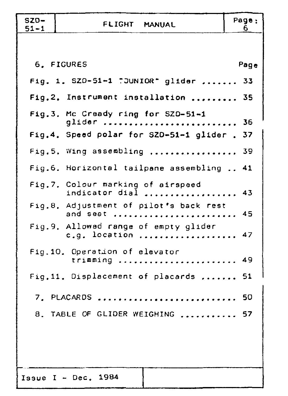| $SZD-$<br>$51 - 1$ | FLIGHT MANUAL                                           | Page:<br>6. |
|--------------------|---------------------------------------------------------|-------------|
|                    |                                                         |             |
|                    | 6. FIGURES                                              | Page        |
|                    | Fig. 1. SZ0-51-1 "JUNIOR" glider  33                    |             |
|                    | Fig.2. Instrument installation                          | 35          |
|                    | Fig.3. Mc Cready ring for SZD-51-1<br>glider            | 36          |
|                    | Fig.4. Speed polar for SZD-51-1 glider.                 | 37          |
|                    | Fig.5. Wing assembling                                  | 39          |
|                    | Fig.6. Horizontal tailpane assembling  41               |             |
|                    | Fig.7. Colour marking of airspeed<br>indicator dial  43 |             |
|                    | Fig.8. Adjustment of pilot's back rest<br>and seat      | 45          |
|                    | Fig.9. Allowed range of empty glider<br>c.g. location   | 47          |
|                    | Fig.10. Operation of elevator<br>trimming               | 49          |
|                    | Fig.11. Displacement of placards  51                    |             |
|                    | 7. PLACARDS  50                                         |             |
|                    | 8. TABLE OF GLIDER WEIGHING  57                         |             |
|                    |                                                         |             |
|                    |                                                         |             |
|                    | Issue I - Dec. $1984$                                   |             |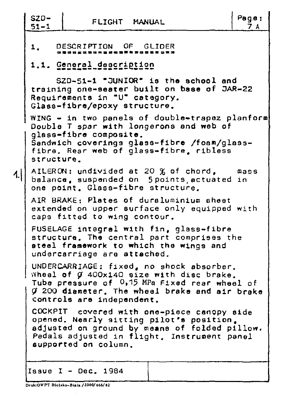| $SZD -$<br>$51 - 1$                |                                                               | FLIGHT MANUAL                                                                                                                                                                              | Page:<br>7A |
|------------------------------------|---------------------------------------------------------------|--------------------------------------------------------------------------------------------------------------------------------------------------------------------------------------------|-------------|
| 1 <sub>1</sub>                     | DESCRIPTION OF GLIDER                                         |                                                                                                                                                                                            |             |
|                                    | 1.1. General description                                      |                                                                                                                                                                                            |             |
|                                    | Requirements in "U" category.<br>Glass-fibre/epoxy structure. | SZD-51-1 "JUNIOR" is the school and<br>training one-seater built on base of JAR-22                                                                                                         |             |
| structure.                         | glass-fibre composite.                                        | WING - in two panels of double-trapez planform<br>Double T spar with longerons and web of<br>Sandwich coverings glass-fibre /foam/glass-<br>fibre. Rear web of glass-fibre. ribless        |             |
| $\left\{ \left. \right\} \right\}$ |                                                               | AILERON: undivided at 20 % of chord, mass<br>balance, suspended on 5 points, actuated in<br>one point. Glass-fibre structure.                                                              |             |
|                                    | caps fitted to wing contour.                                  | AIR BRAKE: Plates of duraluminium sheet<br>extended on upper surface only equipped with                                                                                                    |             |
|                                    | undercarriage are attached.                                   | FUSELAGE integral with fin, glass-fibre<br>structure, The central part comprises the<br>steel framework to which the wings and                                                             |             |
|                                    | controls are independent.                                     | UNDERCARRIAGE: fixed, no shock absorber.<br>Wheel of Ø 400x140 size with disc brake.<br>Tube pressure of $0,15$ MPa Fixed rear wheel of<br>$g$ 200 diameter. The wheel brake and air brake |             |
|                                    | supported on column.                                          | COCKPIT covered with one-piece canopy side<br>opened. Nearly sitting pilot's position.<br>adjusted on ground by means of folded pillow.<br>Pedals adjusted in flight, Instrument panel     |             |
|                                    | Issue $I - Dec. 1984$                                         |                                                                                                                                                                                            |             |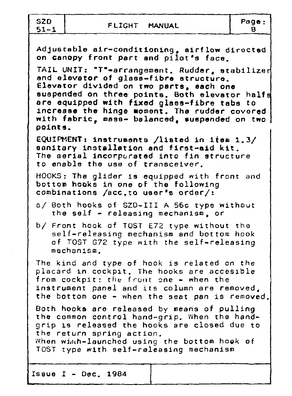SZD<br>51-1

Issue  $I - Dec. 1984$ 

Adjustable air-conditioning. airflow directed on canopy front part and pilot•s face. TAIL UNIT: "T"-arrangement. Rudder, stabilized end elevator of glass-fibre structure. Elevator divided on two parts, each one suspended on three points. Both elevator halfs are equipped with fixed glese-fibre tabs to increase the hinge moment. The rudder covered with fabric, mass- balanced, suspended on two | points. EQUIPMENT1 instruments /listed in item 1.3/ sanitary installation and first-aid kit. The aerial incorporated into fin structure to enable the use of transceiver. HOOKS: The glider is equipped with front and bottom hooks in one of the following combinations /ace.to user's order/: a/ Both hooks of SZD-III A 56c type without the self - releasing mechanism. or *bf* Front hook of TOST E72 type without the self-releasing mechanism *and* bottom hook of TOST G72 type with the self-releasing mechanism. The kind *and* type of hook is related *on* the placard in cockpit. The hooks are accesible from cockpit: the front one - when the instrument panel and its column are removed, the bottom one - when the seat pan is removed. Both hooks are released by means of pulling the common control hand-grip. When the handgrip is released the hooks are closed due to the return spring action. When winch-launched using the bottom hook of TOST type with self-releasing mechanism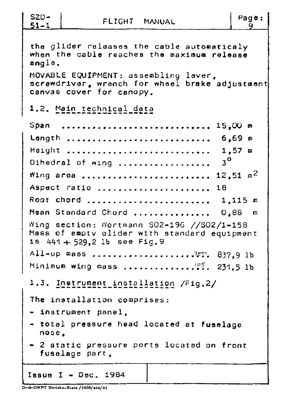| $SZD-$<br>Page:<br>FLIGHT MANUAL<br><u>51–1</u>                                                                                                                                                                                                                                                                                                                    |
|--------------------------------------------------------------------------------------------------------------------------------------------------------------------------------------------------------------------------------------------------------------------------------------------------------------------------------------------------------------------|
| the glider releases the cable automaticaly<br>when the cable reaches the maximum release<br>angle.<br>MOVABLE EQUIPMENT: assembling laver,<br>screwdriver, wrench for wheel brake adjustment<br>canvas cover for canopy.                                                                                                                                           |
| 1.2. Main technical data                                                                                                                                                                                                                                                                                                                                           |
| Span<br>15,00 m<br>Longth  6,69 m<br>$1.57$ m<br>Height<br>$3^\circ$<br>Dihedral of wing<br>12.51 $m2$<br>Wing area<br>Aspect ratio  18<br>Root chord  1,115 m<br>Mean Standard Chord  0,88 m<br>Wing section: Wortmann S02-196 //S02/1-158<br>Mass of empty glider with standard equipment<br>$1s$ 441 + 529.2 lb see Fig. 9<br>All-up mass.<br>$\cdots$ 389.9 lb |
| Minimum wing mass  231.5 lb<br>1.3. Instrument installation /Fig.2/                                                                                                                                                                                                                                                                                                |
| The installation comprises:<br>- instrument panel.<br>- total pressure head located at fuselage<br>nose.<br>2 static pressure ports located on front<br>fusalage part,                                                                                                                                                                                             |
| Issue I - $Dec. 1984$                                                                                                                                                                                                                                                                                                                                              |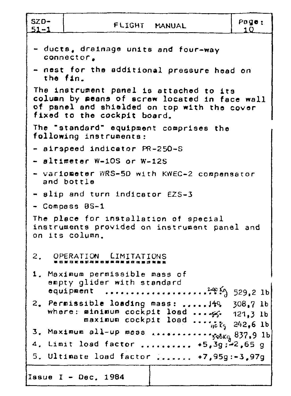| $SZD-$<br>$51 - 1$ | FLIGHT MANUAL                                                                                                                                                          | Page:<br>1 O    |
|--------------------|------------------------------------------------------------------------------------------------------------------------------------------------------------------------|-----------------|
|                    | - ducts, drainage units and four-way<br>connector.                                                                                                                     |                 |
|                    | - nest for the additional pressure head on<br>the fin.                                                                                                                 |                 |
|                    | The instrument panel is attached to its<br>column by means of scraw located in face wall<br>of panel and shielded on top with the cover<br>fixed to the cockpit board. |                 |
|                    | The "standard" equipment comprises the<br>following instruments:                                                                                                       |                 |
|                    | - airspeed indicator PR-250-S                                                                                                                                          |                 |
|                    | - altimeter W-10S or W-12S                                                                                                                                             |                 |
|                    | - variometer WRS-5D with KWEC-2 compensator<br>and bottle                                                                                                              |                 |
|                    | - slip and turn indicator EZS-3                                                                                                                                        |                 |
|                    | - Compass BS-1                                                                                                                                                         |                 |
|                    | The place for installation of special<br>instruments provided on instrument panel and<br>on its column.                                                                |                 |
|                    | 2. OPERATION LIMITATIONS                                                                                                                                               |                 |
|                    | 1. Maximum permissible mass of<br>empty glider with standard<br>equipment<br>.                                                                                         | $29.2$ 1b       |
|                    | 2. Permissible loading mass:  J40, 308,7 lb<br>where: minimum cockpit load  5. 121,3 lb<br>maximum cockpit load  ick, 242,6 lb                                         |                 |
|                    |                                                                                                                                                                        |                 |
|                    | 4. Limit load factor  +5,3g;-2,65 g                                                                                                                                    |                 |
|                    | 5. Ultimate load factor                                                                                                                                                | $+7,95g:-3,97g$ |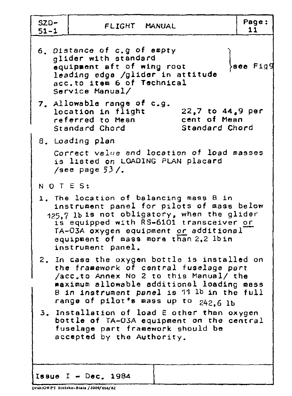| $SZD-$<br>$51 - 1$ | FLIGHT MANUAL                                                                                                                                                                                                                                                                      | Page:<br>11     |
|--------------------|------------------------------------------------------------------------------------------------------------------------------------------------------------------------------------------------------------------------------------------------------------------------------------|-----------------|
|                    | 6. Distance of c.g of empty<br>glider with standard<br>equipment aft of wing root<br>leading edge /glider in attitude<br>acc.to item 6 of Technical<br>Service Manual/                                                                                                             | <b>see Figg</b> |
|                    | 7. Allowable range of c.g.<br>22.7 to 44.9 per<br>location in flight<br>cent of Mean<br>referred to Mean<br>Standard Chord<br>Standard Chord                                                                                                                                       |                 |
|                    | 8. Loading plan                                                                                                                                                                                                                                                                    |                 |
|                    | Correct value and location of load masses<br>is listed on LOADING PLAN placard<br>/see page $53/$ .                                                                                                                                                                                |                 |
| NOTES:             |                                                                                                                                                                                                                                                                                    |                 |
|                    | 1. The location of balancing mass B in<br>instrument panel for pilots of mass below<br>125.7 lbis not obligatory, when the glider<br>is equipped with RS-6101 transceiver or<br>TA-03A oxygen equipment or additional<br>equipment of mass more than 2,2 lbin<br>instrument panel. |                 |
|                    | 2. In case the oxygen bottle is installed on<br>the framework of central fuselage part<br>/acc.to Annex No 2 to this Manual/ the<br>maximum allowable additional loading mass<br>B in instrument panel is 11 lb in the full<br>range of pilot's mass up to 242.6 lb                |                 |
|                    | 3. Installation of load E other than oxygen<br>bottle of TA-03A equipment on the central<br>fuselage part framework should be<br>accepted by the Authority.                                                                                                                        |                 |
|                    | Issue I - Dec. $1984$                                                                                                                                                                                                                                                              |                 |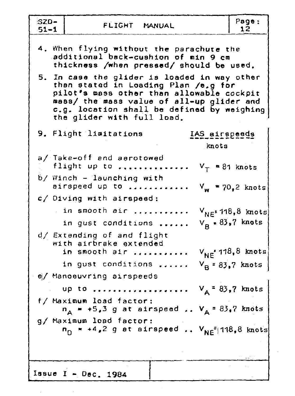| SZD-<br>FLIGHT MANUAL<br>$51 - 1$                                                                                                                                                                                                                          | Page:<br>12.                                 |
|------------------------------------------------------------------------------------------------------------------------------------------------------------------------------------------------------------------------------------------------------------|----------------------------------------------|
| 4. When flying without the parachute the<br>additional back-cushion of min 9 cm<br>thickness /when pressed/ should be used.                                                                                                                                |                                              |
| 5. In case the glider is loaded in way other<br>than stated in Loading Plan /e,g for<br>pilot's mass other than allowable cockpit<br>mass/ the mass value of all-up glider and<br>c.g. location shall be defined by weighing<br>the glider with full load. |                                              |
| 9. Flight limitations<br>IAS airspeeds<br>knots                                                                                                                                                                                                            |                                              |
| a/ Take-off and aerotowed<br>flight up to<br>$V_T = 81$ knots                                                                                                                                                                                              |                                              |
| $b/$ Winch - launching with<br>airspeed up to                                                                                                                                                                                                              | $V_w$ = 70,2 knots                           |
| c/ Diving with airspeed:                                                                                                                                                                                                                                   |                                              |
| in smooth air<br>in gust conditions                                                                                                                                                                                                                        | $V_{NE^2}$ 118,8 knots<br>$V_R$ = 83,7 knots |
| d/ Extending of and flight<br>with airbrake extended<br>in smooth air                                                                                                                                                                                      | $V_{NE}$ -118,8 knots                        |
| in gust conditions                                                                                                                                                                                                                                         | $V_B = 83.7$ knots                           |
| e/ Manoeuvring airspeeds                                                                                                                                                                                                                                   |                                              |
| $V_A = 83,7$ knots<br>up to                                                                                                                                                                                                                                |                                              |
| f/ Maximum load factor:<br>$V_A = 83.7$ knots<br>$n_A$ = +5,3 g at airspeed                                                                                                                                                                                |                                              |
| g/ Maximum load factor:<br>$\mathsf{n}_\Omega$ = +4,2 g at airspeed $\mathsf{V}_\mathsf{NE}^{-1}$ 118,8 knots                                                                                                                                              |                                              |
|                                                                                                                                                                                                                                                            |                                              |
| Issue $I - Dec. 1984$                                                                                                                                                                                                                                      |                                              |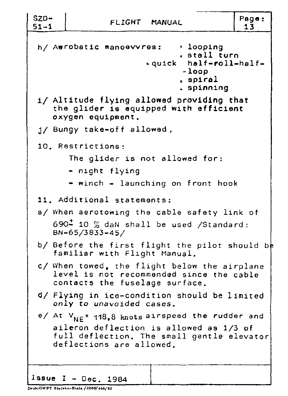| $SZD -$<br>$51 - 1$ | FLIGHT MANUAL                                                                                                              |                                                                            | Page:<br>13 |
|---------------------|----------------------------------------------------------------------------------------------------------------------------|----------------------------------------------------------------------------|-------------|
|                     | $h/$ Aurobatic manoevvres: $\rightarrow$ looping                                                                           | . stall turn<br>.quick half-roll-half-<br>-loop<br>, spiral.<br>. spinning |             |
|                     | i/ Altitude flying allowed providing that<br>the glider is equipped with efficient<br>oxygen equipment.                    |                                                                            |             |
|                     | j/ Bungy take-off allowed,                                                                                                 |                                                                            |             |
|                     | 10. Restrictions:                                                                                                          |                                                                            |             |
|                     | The glider is not allowed for:                                                                                             |                                                                            |             |
|                     | - night flying                                                                                                             |                                                                            |             |
|                     | - winch - launching on front hook                                                                                          |                                                                            |             |
|                     | 11. Additional statements:                                                                                                 |                                                                            |             |
|                     | a/ When aerotowing the cable safety link of                                                                                |                                                                            |             |
|                     | $690 - 10$ % dan shall be used /Standard:<br>BN-65/3833-45/                                                                |                                                                            |             |
|                     | b/ Before the first flight the pilot should be<br>familiar with Flight Manual.                                             |                                                                            |             |
|                     | c/ When towed, the flight below the airplane<br>level is not recommended since the cable<br>contacts the fuselage surface. |                                                                            |             |
|                     | d/ Flying in ice-condition should be limited<br>only to unavoided cases.                                                   |                                                                            |             |
|                     | e/ At V <sub>NE</sub> = 118,8 knots airspeed the rudder and                                                                |                                                                            |             |
|                     | aileron deflection is allowed as 1/3 of<br>full deflection. The small gentle elevator<br>deflections are allowed.          |                                                                            |             |
|                     |                                                                                                                            |                                                                            |             |
|                     | Issue I - Dec. 1984                                                                                                        |                                                                            |             |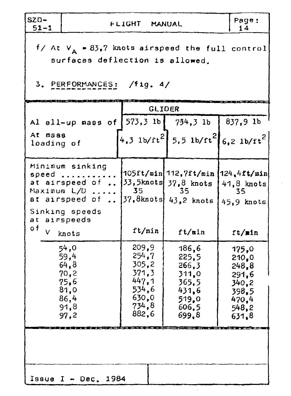| $SZD-$<br>$51 - 1$          |                                                                                                                      | FLIGHT MANUAL                                                                   |                                                                                                                 | Page:<br>14                                                                   |  |
|-----------------------------|----------------------------------------------------------------------------------------------------------------------|---------------------------------------------------------------------------------|-----------------------------------------------------------------------------------------------------------------|-------------------------------------------------------------------------------|--|
|                             | $f/$ At $V_a = 83.7$ knots airspeed the full control<br>surfaces deflection is allowed.<br>3. PERFORMANCES: /fig. 4/ |                                                                                 |                                                                                                                 |                                                                               |  |
|                             |                                                                                                                      |                                                                                 | <b>GLIDER</b>                                                                                                   |                                                                               |  |
|                             | Al all-up mass of $[573,3 \t1b]$ 734,3 lb $[837,9 \t1b]$                                                             |                                                                                 |                                                                                                                 |                                                                               |  |
| At mass<br>loading of       |                                                                                                                      |                                                                                 | 4,3 lb/ft <sup>2</sup> 5,5 lb/ft <sup>2</sup> 6,2 lb/ft <sup>2</sup>                                            |                                                                               |  |
| speed<br>Maximum L/D<br>a t | Minimum sinking<br>الأرابية المتحدث<br>at airspeed of<br>at airspeed of<br>Sinking speeds<br>airspeeds               | 35                                                                              | 105ft/min 112,7ft/min  124,4ft/min <br>$[33, 5$ knots $37, 8$ knots $]$<br>-35<br>$[37, 8$ knots $]$ 43,2 knots | 41.8 knots<br>35<br>45.9 knots                                                |  |
| o f                         | V knots                                                                                                              | ft/min                                                                          | ft/min                                                                                                          | ft/min                                                                        |  |
|                             | 54,0<br>59,4<br>64, 8<br>70,2<br>75,6<br>81,0<br>86,4<br>91,8<br>97,2                                                | 209,9<br>254,7<br>305, 2<br>371.3<br>447,1<br>534,6<br>630,0<br>734, 8<br>882,6 | 186, 6<br>225,5<br>266,3<br>311,0<br>365,5<br>431,6<br>519.0<br>606.5<br>699,8                                  | 175,0<br>210,0<br>248,8<br>291.6<br>340,2<br>398,5<br>470.4<br>548,2<br>631,8 |  |
| Issue I - Dec. $1984$       |                                                                                                                      |                                                                                 |                                                                                                                 |                                                                               |  |

 $\mathcal{A}^{\mathcal{A}}$ 

 $\sim 10^{-1}$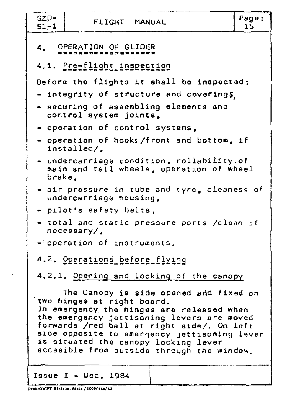| $SZD-$<br>FLIGHT MANUAL<br>$51 - 1$                                                                                                                                                                                                                                                                                                                 | Page:<br>15 |
|-----------------------------------------------------------------------------------------------------------------------------------------------------------------------------------------------------------------------------------------------------------------------------------------------------------------------------------------------------|-------------|
| 4. OPERATION OF GLIDER                                                                                                                                                                                                                                                                                                                              |             |
| 4.1. Pre-flight inspection                                                                                                                                                                                                                                                                                                                          |             |
| Before the flights it shall be inspected:                                                                                                                                                                                                                                                                                                           |             |
| $-$ integrity of structure and coverings,                                                                                                                                                                                                                                                                                                           |             |
| - securing of assembling elements and<br>control system joints,                                                                                                                                                                                                                                                                                     |             |
| - operation of control systems,                                                                                                                                                                                                                                                                                                                     |             |
| - operation of hooks/front and bottom, if<br>intangled/                                                                                                                                                                                                                                                                                             |             |
| - undercarriage condition, rollability of<br>main and tail wheels, operation of wheel<br>brake.                                                                                                                                                                                                                                                     |             |
| - air pressure in tube and tyre, cleaness of<br>undercarriage housing,                                                                                                                                                                                                                                                                              |             |
| - pilot's safety belts.                                                                                                                                                                                                                                                                                                                             |             |
| - total and static pressure ports /clean if<br>necessary/                                                                                                                                                                                                                                                                                           |             |
| $\overline{\phantom{a}}$ operation of instruments.                                                                                                                                                                                                                                                                                                  |             |
| 4.2. Operations before flying                                                                                                                                                                                                                                                                                                                       |             |
| 4.2.1. Opening and locking of the canopy                                                                                                                                                                                                                                                                                                            |             |
| The Canopy is side opened and fixed on<br>two hinges at right board.<br>In emergency the hinges are released when<br>the emergency jettisoning levers are moved<br>forwards /red ball at right side/. On left<br>side opposite to emergency jettisoning lever<br>is situated the canopy locking lever<br>accesible from outside through the window. |             |
| Issue $I - Dec. 1984$                                                                                                                                                                                                                                                                                                                               |             |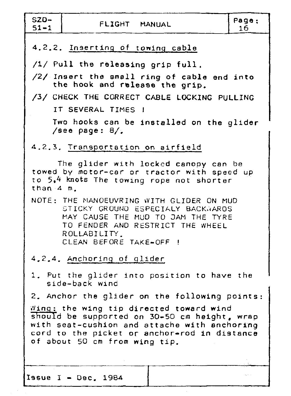| $SZD-$<br>$51 - 1$               | FLIGHT MANUAL                                                                                                                                                                                     | Page:<br>16 |  |  |  |  |  |
|----------------------------------|---------------------------------------------------------------------------------------------------------------------------------------------------------------------------------------------------|-------------|--|--|--|--|--|
| 4.2.2. Inserting of towing cable |                                                                                                                                                                                                   |             |  |  |  |  |  |
|                                  | /1/ Pull the releasing grip full.                                                                                                                                                                 |             |  |  |  |  |  |
|                                  | /2/ Insert the small ring of cable end into<br>the hook and release the grip.                                                                                                                     |             |  |  |  |  |  |
|                                  | /3/ CHECK THE CORRECT CABLE LOCKING PULLING                                                                                                                                                       |             |  |  |  |  |  |
|                                  | IT SEVERAL TIMES 1                                                                                                                                                                                |             |  |  |  |  |  |
|                                  | Two hooks can be installed on the glider<br>/see page: $8/$ .                                                                                                                                     |             |  |  |  |  |  |
|                                  | 4.2.3. Transportation on airfield                                                                                                                                                                 |             |  |  |  |  |  |
| than 4 m.                        | The glider with locked canopy can be<br>towed by motor-car or tractor with speed up<br>to 5,4 knots The towing rope not shorter                                                                   |             |  |  |  |  |  |
|                                  | NOTE: THE MANOEUVRING WITH GLIDER ON MUD<br>STICKY GROUND ESPECIALY BACKWARDS<br>MAY CAUSE THE MUD TO JAM THE TYRE<br>TO FENDER AND RESTRICT THE WHEEL<br>ROLLABILITY.<br>CLEAN BEFORE TAKE-OFF ! |             |  |  |  |  |  |
|                                  | 4.2.4. Anchoring of glider                                                                                                                                                                        |             |  |  |  |  |  |
|                                  | 1. Put the glider into position to have the<br>side-back wind                                                                                                                                     |             |  |  |  |  |  |
|                                  | 2. Anchor the glider on the following points:                                                                                                                                                     |             |  |  |  |  |  |
|                                  | $\mathit{wing:}$ the wing tip directed toward wind<br>should be supported on 30-50 cm height, wrap                                                                                                |             |  |  |  |  |  |
|                                  | with seat-cushion and attache with anchoring                                                                                                                                                      |             |  |  |  |  |  |
|                                  | cord to the picket or anchor-rod in distance<br>of about 50 cm from wing tip.                                                                                                                     |             |  |  |  |  |  |
|                                  |                                                                                                                                                                                                   |             |  |  |  |  |  |
|                                  | Issue $I - Dec. 1984$                                                                                                                                                                             |             |  |  |  |  |  |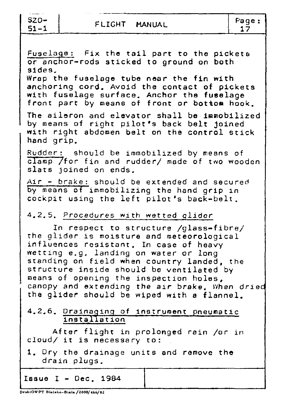$SZ0-$ <br>51-1

FLIGHT MANUAL

Page:<br>17

| Fuselage: Fix the tail part to the pickets<br>or anchor-rods sticked to ground on both       |
|----------------------------------------------------------------------------------------------|
| sides.                                                                                       |
| Wrap the fuselage tube near the fin with                                                     |
| anchoring cord, Avoid the contact of pickets                                                 |
| with fuselage surface. Anchor the fuselage                                                   |
| front part by means of front or bottom hook.                                                 |
| The aileron and elevator shall be immobilized                                                |
| by means of right pilot's back belt joined                                                   |
| with right abdomen belt on the control stick                                                 |
| hand grip.                                                                                   |
| Rudder: should be immobilized by means of                                                    |
| clamp /for fin and rudder/ made of two wooden                                                |
| slats joined on ends.                                                                        |
| Air - brake: should be extended and secured                                                  |
| by means of immobilizing the hand grip in                                                    |
| cockpit using the left pilot's back-belt.                                                    |
|                                                                                              |
| 4.2.5. Procedures with wetted glider                                                         |
| In respect to structure /glass=fibre/                                                        |
| the glider is moisture and meteorological                                                    |
| influences resistant. In case of heavy                                                       |
| wetting e.g. landing on water or long                                                        |
| standing on field when country landed, the                                                   |
| structure inside should be ventilated by                                                     |
| means of opening the inspection holes,                                                       |
| canopy and extending the air brake. When dried<br>the glider should be wiped with a flannel. |
|                                                                                              |
| 4.2.6. Drainaging of instrument pneumatic                                                    |
| installation                                                                                 |
| After flight in prolonged rain /or in                                                        |
| cloud/ it is necessary to:                                                                   |
| 1. Dry the drainage units and remove the                                                     |
| drain plugs.                                                                                 |
|                                                                                              |
| Iasue I - Dec. 1984                                                                          |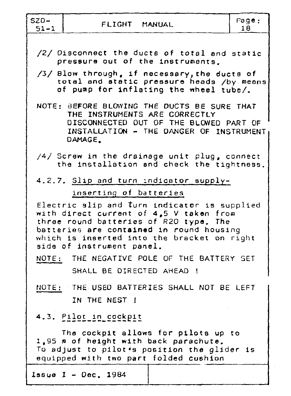| $SZD-$<br>$51 - 1$ | FLIGHT MANUAL                                                                                                                                                                                                                                             | Page:<br>18 |
|--------------------|-----------------------------------------------------------------------------------------------------------------------------------------------------------------------------------------------------------------------------------------------------------|-------------|
|                    | /2/ Disconnect the ducts of total and static<br>pressure out of the instruments.                                                                                                                                                                          |             |
|                    | /3/ Blow through, if necessary, the ducts of<br>total and static pressure heads /by means<br>of pump for inflating the wheel tube/.                                                                                                                       |             |
|                    | NOTE: BEFORE BLOWING THE DUCTS BE SURE THAT<br>THE INSTRUMENTS ARE CORRECTLY<br>DISCONNECTED OUT OF THE BLOWED PART OF<br>INSTALLATION - THE DANGER OF INSTRUMENT<br>DAMAGE.                                                                              |             |
|                    | /4/ Screw in the drainage unit $\not\equiv$ plug, connect<br>the installation and check the tightness.                                                                                                                                                    |             |
|                    | 4.2.7. Slip and turn indicator supply-<br>inserting of batteries                                                                                                                                                                                          |             |
|                    | Electric slip and turn indicator is supplied<br>with direct current of 4,5 V taken from<br>three round batteries of R20 type. The<br>batteries are contained in round housing<br>which is inserted into the bracket on right<br>side of instrument panel. |             |
|                    | NOTE: THE NEGATIVE POLE OF THE BATTERY SET<br>SHALL BE DIRECTED AHEAD !                                                                                                                                                                                   |             |
|                    | NOTE: THE USED BATTERIES SHALL NOT BE LEFT<br>IN THE NEST !                                                                                                                                                                                               |             |
|                    | 4.3. Pilot in cockpit                                                                                                                                                                                                                                     |             |
|                    | The cockpit allows for pilots up to<br>1,95 m of height with back parachute.<br>To adjust to pilot's position the glider is<br>equipped with two part folded cushion                                                                                      |             |
|                    | Issue $I - Dec$ , 1984                                                                                                                                                                                                                                    |             |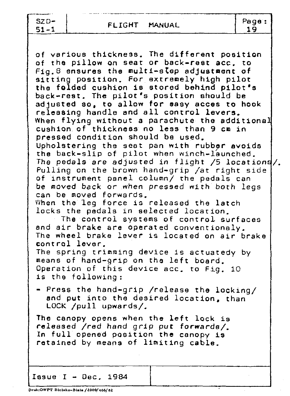---- ---- --------------------~-----.  $SZD-$ <br> $51-1$ 

FLIGHT MANUAL Page:

19

of various thickness. The different position of the pillow on seat or back-reet acc. to Fig.8 ensures the multi-step adjustment of sitting position. For extremely high pilot the folded cushion is stored behind pilot's back-rest. The pilot's position should be adjusted so, to allow for easy acces to hook releasing handle and all control levers. When flying without a parachute the additional cushion of thickness no less than 9 cm in pressed condition should be used. Upholstering the seat pan with rubber avoids the back-slip of pilot when winch-launched. The pedals are adjusted in flight /5 locations /. Pulling on the brown hand-grip /at right side of instrument panel column/ the pedals can be moved back or when pressed with both legs can be moved forwards. When the leg force is released the latch locks the pedals in selected location. The control systems of control surfaces and air brake are operated conventionaly. The wheel brake lever is located on air brake control lever. The spring trimming device is actuatedy by means of hand-grip on the left board. Operation of this device acc. to Fig. 10 is the following: - Press the hand-grip /release the locking/ and put into the desired location, than LOCK /pull upwards/. The canopy opens when the left lock is released /red hand grip *put* forwards/. In full opened position the canopy is retained by means of limiting cable.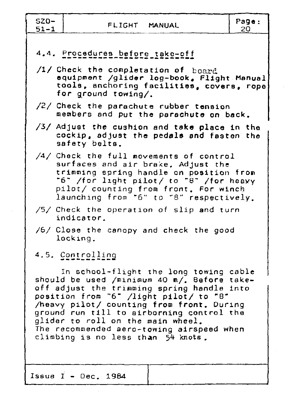| $SZO-$<br>$51 - 1$                                                                                                                                               | FLIGHT MANUAL                                                           |                                                                                                                                                                                                                                                                                                                      | Page:<br>20 |  |  |  |  |
|------------------------------------------------------------------------------------------------------------------------------------------------------------------|-------------------------------------------------------------------------|----------------------------------------------------------------------------------------------------------------------------------------------------------------------------------------------------------------------------------------------------------------------------------------------------------------------|-------------|--|--|--|--|
| 4.4. Procedures before take-off<br>/1/ Check the completation of board<br>equipment /glider log-book, Flight Manual<br>tools, anchoring facilities, covers, rope |                                                                         |                                                                                                                                                                                                                                                                                                                      |             |  |  |  |  |
|                                                                                                                                                                  | for ground towing/.                                                     | /2/ Check the parachute rubber tension<br>members and put the parachute on back.                                                                                                                                                                                                                                     |             |  |  |  |  |
|                                                                                                                                                                  | safety belts.                                                           | /3/ Adjust the cushion and take place in the<br>cockip, adjust the pedals and fasten the                                                                                                                                                                                                                             |             |  |  |  |  |
|                                                                                                                                                                  |                                                                         | $/4/$ Check the full movements of control<br>surfaces and air brake, Adjust the<br>trimming spring handle on position from<br>"6" /for light pilot/ to "8" /for heavy<br>pilot/ counting from front. For winch<br>launching from "6" to "8" respectively.                                                            |             |  |  |  |  |
|                                                                                                                                                                  | indicator.                                                              | /5/ Check the operation of slip and turn                                                                                                                                                                                                                                                                             |             |  |  |  |  |
|                                                                                                                                                                  | locking.                                                                | /6/ Close the canopy and check the good                                                                                                                                                                                                                                                                              |             |  |  |  |  |
|                                                                                                                                                                  | 4.5. Controlling                                                        |                                                                                                                                                                                                                                                                                                                      |             |  |  |  |  |
|                                                                                                                                                                  | glider to roll on the main wheel.<br>climbing is no less than 54 knots. | In school-flight the long towing cable<br>should be used /minimum 40 m/. Before take-<br>off adjust the trimming spring handle into<br>position from "6" /light pilot/ to "8"<br>/heavy pilot/ counting from front. During<br>ground run till to airborning control the<br>The recommended aero-towing airspeed when |             |  |  |  |  |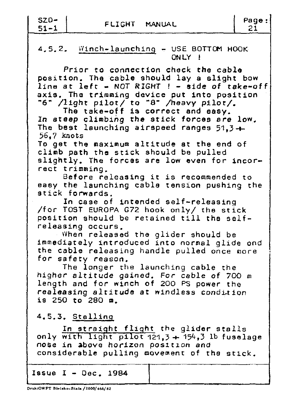| SZD-      |  |
|-----------|--|
| 51<br>- 1 |  |

## $4.5.2.$  Winch-launching - USE BOTTOM HOOK ONLY **1**

Prior to connection check the cable position. The cable should lay a slight bow line at left - NOT RIGHT ! - side of take-off axis. The trimming device put into position "6" /light pilot/ *to* "8" /heavy pilot/.

The take-off is correct and easy. In steep climbing the stick forces are low. The best launching airspeed ranges  $51.3 +$ 56, 7 knots

To get the maximum altitude et the end of climb path the stick should be pulled slightly. The forces are low even for incorrect trimming.

Before releasing it is recommended to easy the launching cable tension pushing the stick forwards.

In case of intended self-releasing /for TOST EUROPA G72 hook only/ the stick position should be retained till the selfreleasing occurs.

When released the glider should be immediately introduced into normal glide and the cable releasing handle pulled once more for safety reason.

The longer the launching cable the higher altitude gained. For cable of 700 m length and for winch of 200 PS power the realeasing altitude at windless condition is 250 to 280 m.

4.5.3. Stalling

*In* straight flight the glider stalls only with light pilot  $121.3 + 154.3$  lb fuselage nose in above horizon position *ana*  considerable pulling movement of the stick.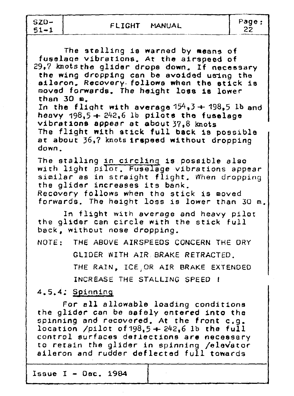$SZD-$ 

Page: 22

The stalling is warned by means of fuselaoe vibrations. At the airspeed of 29,7 knots the glider drops down. If necessary the wing dropping can be avoided using the aileron. Recovery. follows when the stick is moved forwards. The height loes is lower than  $30$   $n<sub>-</sub>$ In the flight with average  $154,3 + 198,5$  lb and heavy  $198.5 + 242.6$  lb pilots the fuselage vibrations appear et about 37,8 knots The flight with stick full back is possible at about 36,7 knots trspeed without dropping down. The stalling in circling is possible also with light pilot. Fuselage vibrations appear similar as in straight flight. When dropping the glider increases its bank. Recovery follows when tho stick is moved forwards. The height loss is lower than 30 m. In flight with average and heavy pilot the glider can circle with the stick full back, without nose dropping. NOTE: THE ABOVE AIRSPEEDS CONCERN THE ORY GLIDER WITH AIR BRAKE RETRACTED. THE RAIN, ICE,OR AIR BRAKE EXTENDED INCREASE THE STALLING SPEED ! 4. 5.4; Spinning For ell allowable loading conditions the glider can be safely entered into the spinning and recovered. At the front c.g. location /pilot of  $198.5 + 242.6$  lb the full control surfaces detlections are necessary to retain the glider in spinning /elevator aileron and rudder deflected full towards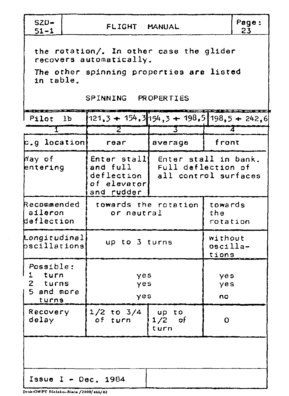| $SZD-$<br>$51 - 1$                                                                                                                                 |                | Page:<br>FLIGHT MANUAL<br>23                        |                                                                                |                              |   |  |  |  |  |
|----------------------------------------------------------------------------------------------------------------------------------------------------|----------------|-----------------------------------------------------|--------------------------------------------------------------------------------|------------------------------|---|--|--|--|--|
| the rotation/. In other case the glider<br>recovers automatically.<br>The other spinning properties are listed<br>in table.<br>SPINNING PROPERTIES |                |                                                     |                                                                                |                              |   |  |  |  |  |
| l Pilot                                                                                                                                            | 1 <sub>b</sub> | $121,3 + 154,3154,3 + 198,51198,5 + 242,6$          |                                                                                |                              |   |  |  |  |  |
| T                                                                                                                                                  |                | $\overline{z}$                                      | $\mathbf{3}^-$                                                                 |                              | 7 |  |  |  |  |
| $\mathtt{c.g.}$ location                                                                                                                           |                | rear                                                | average                                                                        | front                        |   |  |  |  |  |
| Way of<br>entering                                                                                                                                 |                | and full<br>deflection<br>of elevator<br>and rudder | Enter stall enter stall in bank.<br>Full deflection of<br>all control surfaces |                              |   |  |  |  |  |
| Recommended<br>  aileron<br>deflection                                                                                                             |                | or neutral                                          | towards the rotation                                                           | towards<br>the<br>rotation   |   |  |  |  |  |
| Longitudinal<br>bscillations                                                                                                                       |                | up to 3 turns                                       |                                                                                | without<br>oscilla-<br>tions |   |  |  |  |  |
| Possible:<br>1 turn<br>turns<br>2<br>5 and more<br>turns                                                                                           |                | yes<br>yes<br>yes                                   |                                                                                | yes<br>yes<br>no             |   |  |  |  |  |
| Recovery<br>delay                                                                                                                                  |                | $1/2$ to $3/4$<br>of turn                           | 0                                                                              |                              |   |  |  |  |  |
|                                                                                                                                                    |                |                                                     |                                                                                |                              |   |  |  |  |  |
| Issue I - $Dec. 1984$                                                                                                                              |                |                                                     |                                                                                |                              |   |  |  |  |  |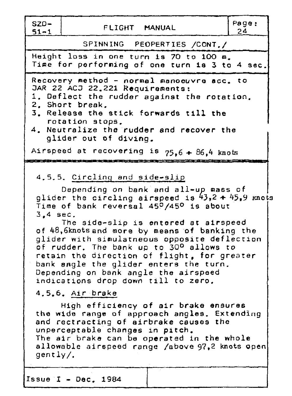SZD- FLIGHT MANUAL Page:<br>51-1 FLIGHT MANUAL 24

SPINNING PEOPERTIES /CONT./ Height loss in one turn is 70 to 100 m. Time for performing of one turn is 3 to 4 sec. Recovery inethod - normal manoeuvre **acc.** to JAR 22  $ACJ$  22.221  $Ra$ uirements: 1. Deflect the rudder against the rotation. 2. Short break. 3. Release the stick forwards till the rotation stops. 4. Neutralize the rudder and recover the glider out of diving. Airspeed at recovering is  $75.6 + 86.4$  knots 4.5.5. Circling and side-slie Depending on bank and all-up mass of glider the circling airspeed is  $43,2 + 45,9$  knots Time of bank reversal 450 /450 is about 3,4 sec. The side-slip is entered at airspeed of 48,6knots and more by means of banking the glider with simulatneous opposite deflection of rudder. The bank up to 30<sup>0</sup> allows to retain the direction of flight. for greater bank angle the glider enters the turn. Depending on bank angle the airspeed indications drop down till to zero. 4.5.6. Air brake High efficiency of air brake ensures the wide range of approach angles. Extending and rectracting of airbrake causes the unperceptable changes in pitch. The air brake can be operated in the whole allowable airspeed range /above 97.2 knots open gently/. Issue I - Dec. 1984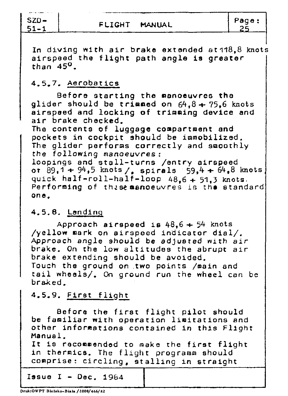SZD-<br>51-1

FLIGHT MANUAL Page:

In diving with air brake extended at118,8 knots airspeed the flight path angle is greater than  $45^\circ$ .

### 4.5.7. Aerobatics

Before starting the manoeuvres the glider should be trimmed on  $64.8 + 75.6$  knots airspeed and locking of trimming device end air brake checked.

The contents of luggage compartment and pockets in cockpit should be immobilized. The glider performs correctly and smoothly the following manoeuvres: loopings and stall-turns /entry airspeed or  $89,1 + 94,5$  knots /, spirals 59,4 + 64,8 knots quick half-roll-half-loop 48,6 + 51,3 knots. Performing of these manoeuvres is the standard **one.** 

#### 4.5.8. Landing

Approach airspeed is  $48.6 + 54$  knots /yellow mark on airspeed indicator dial/. Approach *angle* should be adjusted with *air*  brake. On the low altitudes the abrupt air brake extending should be avoided. Touch the ground on two points /main and tail wheels/. On ground run the wheel can be braked.

# 4.5.9. First flight

Before the first flight pilot should be familiar with operation limitations and other informations contained in this Flight Manual.

It is recommended to make the first flight in thermics. The flight programm should comprise: circling, stalling in straight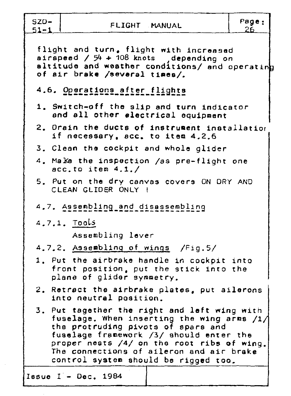| $SZD-$<br>$51 - 1$ | FLIGHT MANUAL                                                                                                                                                                                                                                                                                                     | Page:<br>26. |
|--------------------|-------------------------------------------------------------------------------------------------------------------------------------------------------------------------------------------------------------------------------------------------------------------------------------------------------------------|--------------|
|                    | flight and turn, flight with increased<br>airspeed $/54 + 108$ knots depending on<br>altitude and weather conditions/ and operating<br>of air brake /several times/.                                                                                                                                              |              |
|                    | 4.6. Operations after flights                                                                                                                                                                                                                                                                                     |              |
|                    | 1. Switch-off the slip and turn indicator<br>and all other electrical equipment                                                                                                                                                                                                                                   |              |
|                    | 2. Orain the ducts of instrument installation<br>if necessary, acc. to item 4,2,6                                                                                                                                                                                                                                 |              |
|                    | 3. Clean the cockpit and whole glider                                                                                                                                                                                                                                                                             |              |
|                    | 4. Make the inspection /as pre-flight one<br>acc.to item $4.1./$                                                                                                                                                                                                                                                  |              |
|                    | 5. Put on the dry canvas covers ON DRY AND<br>CLEAN GLIDER ONLY !                                                                                                                                                                                                                                                 |              |
|                    | 4.7. Assembling and disassembling                                                                                                                                                                                                                                                                                 |              |
|                    | 4.7.1. Tools                                                                                                                                                                                                                                                                                                      |              |
|                    | Assembling lever                                                                                                                                                                                                                                                                                                  |              |
|                    | 4.7.2. Assembling of wings /Fig.5/                                                                                                                                                                                                                                                                                |              |
|                    | 1. Put the airbrake handle in cockpit into<br>front position, put the stick into the<br>plane of glider symmetry.                                                                                                                                                                                                 |              |
|                    | 2. Retract the airbrake plates, put ailerons<br>into neutral position.                                                                                                                                                                                                                                            |              |
|                    | 3. Put tagether the right and left wing with<br>fuselage. When inserting the wing arms $/1/$<br>the protruding pivots of spars and<br>fuselage framework /3/ should enter the<br>proper nests $/4/$ on the root ribs of wing.<br>The connections of aileron and air brake<br>control system should be rigged too. |              |
|                    | Issue $I - Dec. 1984$                                                                                                                                                                                                                                                                                             |              |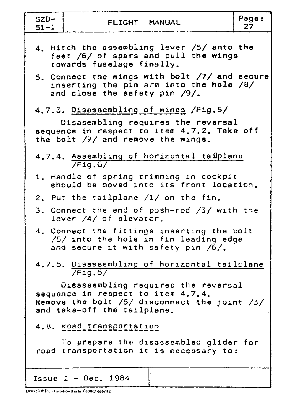| $SZD-$<br>$51 - 1$ | FLIGHT MANUAL                                                                                                                                                    | Page:<br>27 |
|--------------------|------------------------------------------------------------------------------------------------------------------------------------------------------------------|-------------|
|                    | 4. Hitch the assembling lever /5/ anto the<br>feet /6/ of spars and pull the wings<br>towards fuselage finally.<br>5. Connect the wings with bolt /7/ and secure |             |
|                    | inserting the pin arm into the hole /8/<br>and close the safety pin $/9/$ .                                                                                      |             |
|                    | 4.7.3. Disassambling of wings /Fig.5/<br>Disasembling requires the reversal                                                                                      |             |
|                    | sequence in respect to item 4.7.2. Take off<br>the bolt /7/ and remove the wings.                                                                                |             |
|                    | 4.7.4. Assembling of horizontal taiplane<br>7Fig.6/                                                                                                              |             |
|                    | 1. Handle of spring trimming in cockpit<br>should be moved into its front location.                                                                              |             |
|                    | 2. Put the tailplane /1/ on the fin.                                                                                                                             |             |
|                    | 3. Connect the end of push-rod /3/ with the<br>lever /4/ of elevator.                                                                                            |             |
|                    | 4. Connect the fittings inserting the bolt<br>/5/ into the hole in fin leading edge<br>and secure it with safety pin /6/.                                        |             |
|                    | 4.7.5. Disassembling of horizontal tailplane<br>/Fig.6/                                                                                                          |             |
|                    | Disassembling requires the reversal<br>sequence in respect to item 4.7.4.<br>Remove the bolt $/5/$ disconnect the joint $/3/$<br>and take-off the tailplane.     |             |
|                    | 4.8. Road transportation                                                                                                                                         |             |
|                    | To prepare the disassembled glider for<br>road transportation it is necessary to:                                                                                |             |
|                    | Issue I - $Dec. 1984$                                                                                                                                            |             |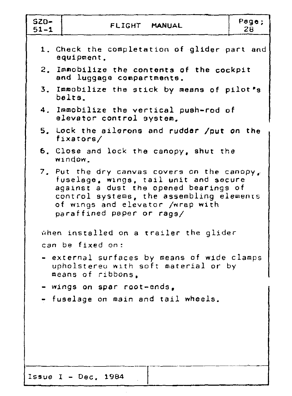| $SZD-$<br>$51 - 1$ | FLIGHT MANUAL                                                                                                                                                                                                                              | Page:<br>28 |
|--------------------|--------------------------------------------------------------------------------------------------------------------------------------------------------------------------------------------------------------------------------------------|-------------|
|                    | 1. Check the completation of glider part and<br>equipment.                                                                                                                                                                                 |             |
|                    | 2. Immobilize the contents of the cockpit<br>and luggage compartments.                                                                                                                                                                     |             |
|                    | 3. Immobilize the stick by means of pilot's<br>belts.                                                                                                                                                                                      |             |
|                    | 4. Immobilize the vertical push-rod of<br>elevator control system.                                                                                                                                                                         |             |
|                    | 5. Lock the ailerons and rudder /put on the<br>fixators/                                                                                                                                                                                   |             |
|                    | 6. Close and lock the canopy, shut the<br>window.                                                                                                                                                                                          |             |
|                    | 7. Put the dry canvas covers on the canopy,<br>fuselage, wings, tail unit and secure<br>against a dust the opened bearings of<br>control systems, the assembling elements<br>of wings and elevator /wrap with<br>paraffined paper or rags/ |             |
|                    | when installed on a trailer the glider<br>can be fixed on:                                                                                                                                                                                 |             |
|                    | - external surfaces by means of wide clamps<br>upholstered with soft material or by<br>means of ribbons,                                                                                                                                   |             |
|                    | = wings on spar root-ends,<br>- fuselage on main and tail wheels.                                                                                                                                                                          |             |
|                    | Issue I - $Dec. 1984$                                                                                                                                                                                                                      |             |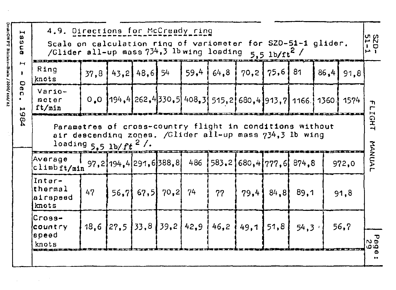| $\blacktriangleright$<br>$\boldsymbol{\omega}$<br>ω<br>٤ | 4.9. Directions for McCready ring<br>Scale on calculation ring of variometer for SZD-51-1 glider.<br>/Glider all-up mass 734,3 lb wing loading 5.5 lb/ft2 / |      |                     |              |                  |      |                                                                |  | ងជ<br>부모        |                |             |                                 |
|----------------------------------------------------------|-------------------------------------------------------------------------------------------------------------------------------------------------------------|------|---------------------|--------------|------------------|------|----------------------------------------------------------------|--|-----------------|----------------|-------------|---------------------------------|
| ⊢                                                        | Ring<br>knots                                                                                                                                               | 37.8 |                     | 43.2 48.6 54 |                  | 59,4 | 64, 8                                                          |  | $70,2$   $75,6$ | -81            | $86,4$ 91,8 |                                 |
| Dec<br>ميو<br>6                                          | $Var10-$<br>meter<br>ft/min                                                                                                                                 |      |                     |              |                  |      | $0.0$ 194,4 262,4 330,5 408,3 515,2 680,4 913,7 1166 1360 1574 |  |                 |                |             | ጉ<br>٣<br>$\blacktriangleright$ |
| \$                                                       | Parametres of cross-country flight in conditions without<br>air descending zones. /Glider all-up mass 734,3 lb wing<br>loading $5.5$ lb/ft <sup>2</sup> /.  |      |                     |              |                  |      |                                                                |  |                 |                |             | GHT                             |
|                                                          | Average<br>climbft/min                                                                                                                                      |      | 97,2194,4291,6388,8 |              |                  | 486  | $1583.21680.41777.6$ 874.8                                     |  |                 |                | 972,0       | MANUAL                          |
|                                                          | Inter-<br>thermal<br>airspeed<br>knots                                                                                                                      | 47   |                     |              | $56,7$ 67,5 70,2 | 74   | 77                                                             |  | $79,4$ 84,8     | 89.1           | 91,8        |                                 |
|                                                          | Cross-<br>country<br>speed<br>knots                                                                                                                         |      |                     |              |                  |      | $18,6$   27,5   33,8   39,2   42,9   46,2   49,1   51,8        |  |                 | $54.3^{\circ}$ | 56,7        | 5<br>9 U<br>مە                  |
|                                                          |                                                                                                                                                             |      |                     |              |                  |      |                                                                |  |                 |                |             | Φ                               |

Druk:OWPT Bielsko-Biala / 2000/ 466/ 82

 $\sim 10^7$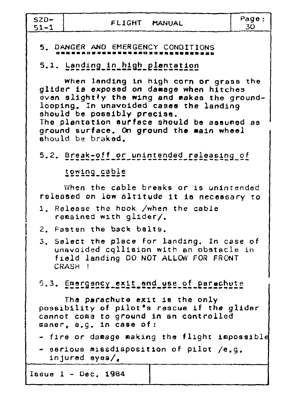$SZD 51 - 1$ 

# 5. DANGER AND EMERGENCY CONDITIONS

# 5.1. Landing in high plantation

When landing in high corn or grass the glider is exposed on damage when hitches even slightly the wing and makes the groundlooping. In unavoided cases the landing should be possibly precise. The plantation surface should be assumed as ground surface. On ground the main wheel should be braked.

5.2. Break-off or unintended releasing of

towing cable

When the cable breaks or is unintended released on low altitude it is necessary to

- 1. Release the hook /when the cable remained with glider/.
- 2. Fasten the back belts.
- 3. Select the place for landing. In case of unavoided collision with an obstacle in field landing DO NOT ALLOW FOR FRONT CRASH !

5.3. Emergency exit and use of parachute

The parachute exit is the only possibility of pilot's rescue if the glider cannot come to ground in an controlled maner, e.g. in case of:

- fire or damage making the flight impossible
- serious missdisposition of pilot /e.g. injured eyes/.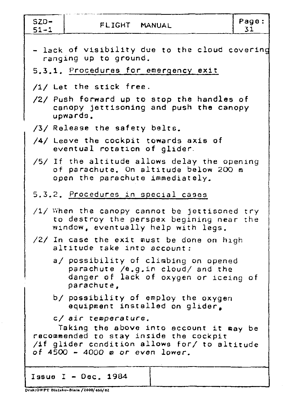| $SZD -$<br>$51 - 1$ | FLIGHT MANUAL                                                                                                                                                                               | Page:<br>31 |
|---------------------|---------------------------------------------------------------------------------------------------------------------------------------------------------------------------------------------|-------------|
|                     | - lack of visibility due to the cloud covering<br>ranging up to ground.<br>5.3.1. Procedures for emergency exit                                                                             |             |
|                     | /1/ Let the stick free.<br>/2/ Push forward up to stop the handles of<br>canopy jettisoning and push the canopy<br>upwards.                                                                 |             |
|                     | /3/ Release the safety belts.<br>$/4/$ Leave the cockpit towards axis of<br>eventual rotation of glider.                                                                                    |             |
|                     | /5/ If the altitude allows delay the opening<br>of parachute. On altitude below 200 m<br>open the parachute immediately.                                                                    |             |
|                     | 5.3.2. Procedures in special cases                                                                                                                                                          |             |
|                     | $/1/$ When the canopy cannot be jettisoned try<br>to destroy the perspex begining near the<br>window, eventually help with legs.                                                            |             |
|                     | /2/ In case the exit must be done on high<br>altitude take into account:                                                                                                                    |             |
|                     | a/ possibility of climbing on opened<br>parachute /e.g.in cloud/ and the<br>danger of lack of oxygen or iceing of<br>parachute,                                                             |             |
|                     | b/ possibility of employ the oxygen<br>equipment installed on glider.                                                                                                                       |             |
|                     | c/ air temperature.<br>Taking the above into account it may be<br>recommended to stay inside the cockpit<br>/if glider condition allows for/ to altitude<br>of 4500 - 4000 m or even lower. |             |
|                     | Issue I - Dec. 1984                                                                                                                                                                         |             |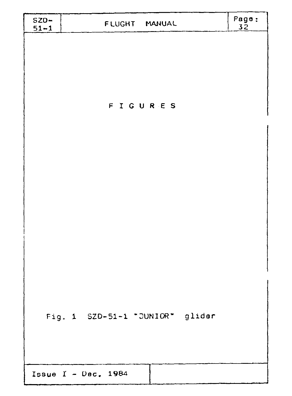| $SZD-$<br>$51 - 1$ | FLUGHT MANUAL                   | Page:<br>32 |
|--------------------|---------------------------------|-------------|
|                    | FIGURES                         |             |
|                    |                                 |             |
|                    | Fig. 1 SZD-51-1 "JUNIOR" glider |             |
|                    | Issue $I - Dec. 1984$           |             |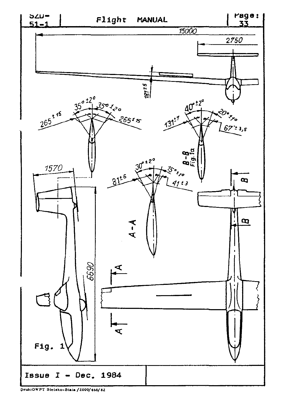

Druk:OWPT Bielsko-Biała / 2000/466/82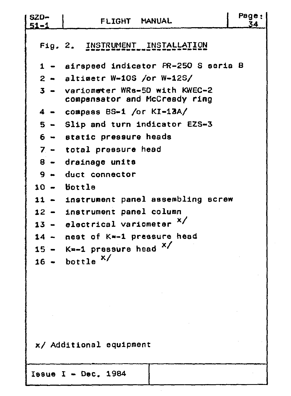| $SZD-$<br>$51 - 1$ | FLIGHT MANUAL                                                  | Page:<br>34 |
|--------------------|----------------------------------------------------------------|-------------|
|                    | Fig. 2. INSTRUMENT INSTALLATION                                |             |
| $1 -$              | airspeed indicator PR-250 S seria B                            |             |
|                    | $2 -$ altimetr W-10S /or W-12S/                                |             |
| $3 -$              | variometer WRs-50 with KWEC-2<br>compensator and McCready ring |             |
|                    | $4 - \text{conspass BS-1}$ /or KI-13A/                         |             |
|                    | 5 - Slip and turn indicator EZS-3                              |             |
|                    | $6 -$ static pressure heads                                    |             |
|                    | $7 -$ total pressure head                                      |             |
|                    | 8 - drainage units                                             |             |
|                    | $9 -$ duct connector                                           |             |
|                    | $10 -$ bottle                                                  |             |
|                    | 11 - instrument panel assembling screw                         |             |
|                    | 12 - instrument panel column                                   |             |
|                    | 13 - electrical variometer $x/$                                |             |
|                    | 14 - nest of K=-1 pressure head                                |             |
| $15 -$             | $K=-1$ pressure head $X/$                                      |             |
| $16 -$             | bottle $x/$                                                    |             |
|                    |                                                                |             |
|                    |                                                                |             |
|                    |                                                                |             |
|                    |                                                                |             |
|                    |                                                                |             |
|                    | x/ Additional equipment                                        |             |
|                    |                                                                |             |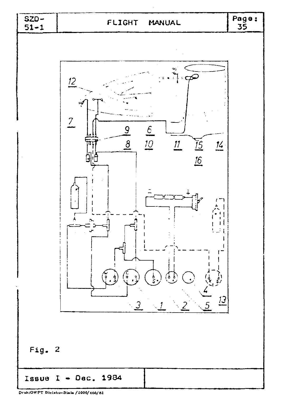

Druk:OWPT Bielsko-Biala / 2000/466/82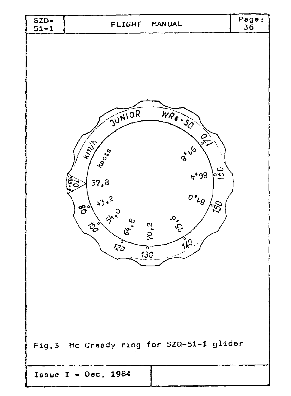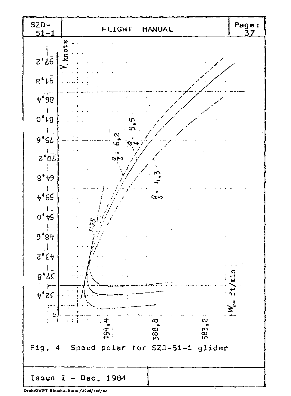

Druk:OWPT Bielsko-Biała / 2000/466/82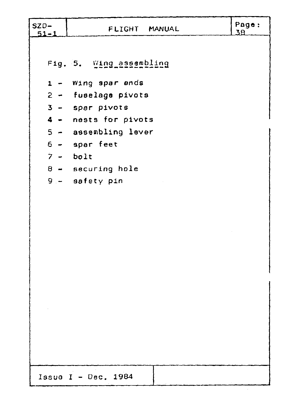| $SZD-$<br>$51 - 1$ | FLIGHT MANUAL                           | Page:<br>38 |
|--------------------|-----------------------------------------|-------------|
|                    |                                         |             |
|                    | Fig. 5. Wing assembling                 |             |
|                    | 1 - Wing spar ends                      |             |
|                    | 2 - fuselage pivots                     |             |
|                    | 3 - spar pivots                         |             |
|                    | 4 - nests for pivots                    |             |
|                    | $5 -$ assembling lever                  |             |
|                    | $6 -$ spar feet                         |             |
|                    | $7 - bolt$                              |             |
|                    | $8 -$ securing hole<br>$9 -$ safety pin |             |
|                    |                                         |             |
|                    |                                         |             |
|                    |                                         |             |
|                    |                                         |             |
|                    |                                         |             |
|                    |                                         |             |
|                    |                                         |             |
|                    |                                         |             |
|                    |                                         |             |
|                    |                                         |             |
|                    |                                         |             |
|                    |                                         |             |
|                    |                                         |             |
|                    |                                         |             |
|                    | Issue $I - Dec. 1984$                   |             |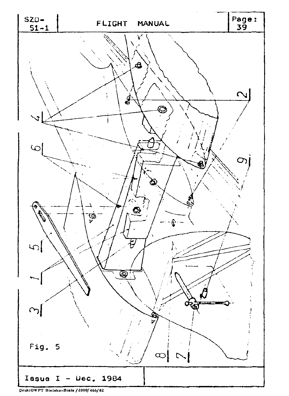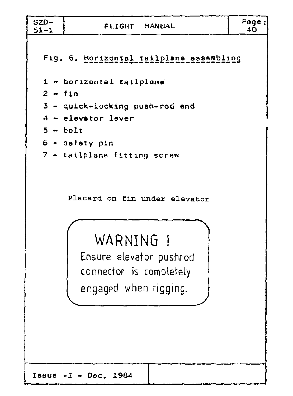| $SZD-$<br>$51 - 1$             | FLIGHT MANUAL                           | Page:<br>40 |
|--------------------------------|-----------------------------------------|-------------|
|                                | Fig. 6. Horizontal tailplane assembling |             |
|                                | 1 - horizontal tailplane                |             |
| $2 - fin$                      |                                         |             |
| 3 - quick-locking push-rod end |                                         |             |
| $4$ - elevator lever           |                                         |             |
| $5 - bolt$                     |                                         |             |
|                                | $6 -$ safety pin                        |             |
|                                | 7 - tailplane fitting screw             |             |

Placard on fin under elevator

# WARNING !

Ensure elevator pushrod connector is completely engaged when rigging.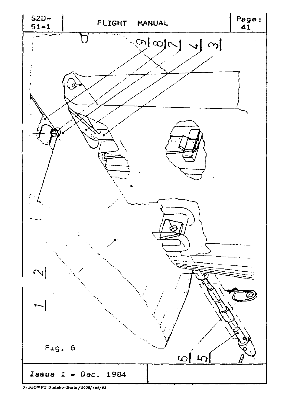

**Druk:OWPT Diebko-Biala /l.000/466/82:**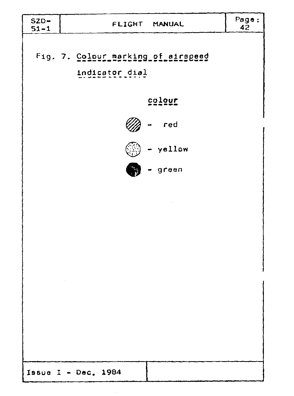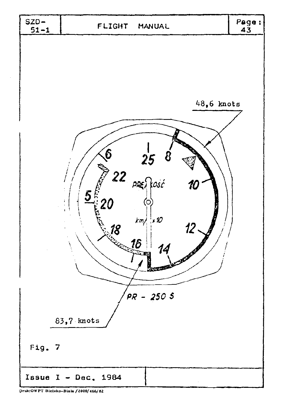

Druk:OWPT Bielsko-Biała / 2000/466/82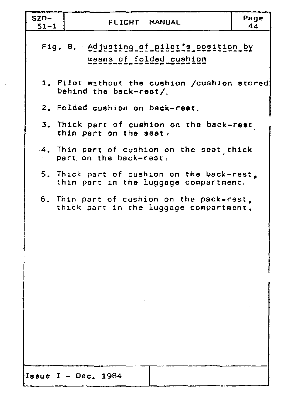| SZD-<br>$51 - 1$ | FLIGHT MANUAL                                                                       | Page<br>44 |  |
|------------------|-------------------------------------------------------------------------------------|------------|--|
|                  | Fig. 8. Adjusting of pilot's position by<br>means of folded cushion                 |            |  |
|                  | 1. Pilot without the cushion /cushion stored<br>behind the back-rest/               |            |  |
|                  | 2. Folded cushion on back-rest.                                                     |            |  |
|                  | 3. Thick part of cushion on the back-rest,<br>thin part on the seat.                |            |  |
|                  | 4. Thin part of cushion on the seat thick<br>part on the back-rest.                 |            |  |
|                  | 5. Thick part of cushion on the back-rest.<br>thin part in the luggage compartment. |            |  |
|                  | 6. Thin part of cushion on the pack-rest,<br>thick part in the luggage compartment, |            |  |
|                  |                                                                                     |            |  |
|                  |                                                                                     |            |  |
|                  |                                                                                     |            |  |
|                  |                                                                                     |            |  |
|                  |                                                                                     |            |  |
|                  |                                                                                     |            |  |
|                  | Issue $I - Dec. 1984$                                                               |            |  |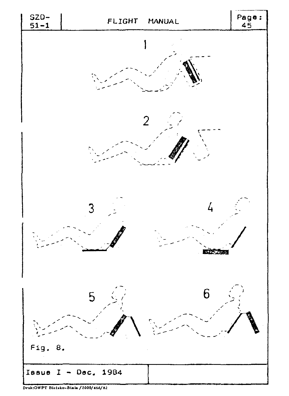

Druk:OWPT Bielsko-Biała / 2000/466/82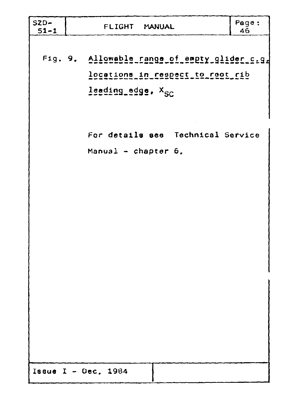| $SZD-$<br>$51 - 1$ | FLIGHT MANUAL                 |                                                                                  | Page:<br>46 |
|--------------------|-------------------------------|----------------------------------------------------------------------------------|-------------|
|                    | leading_adge. X <sub>SC</sub> | Fig. 9. Allowable range of empty glider c.g.<br>locations_in_respect_to_reet_rib |             |
|                    | Manual $-$ chapter $6$ .      | For details see Technical Service                                                |             |
|                    |                               |                                                                                  |             |
|                    |                               |                                                                                  |             |
|                    |                               |                                                                                  |             |
|                    | Issue $I - Dec. 1984$         |                                                                                  |             |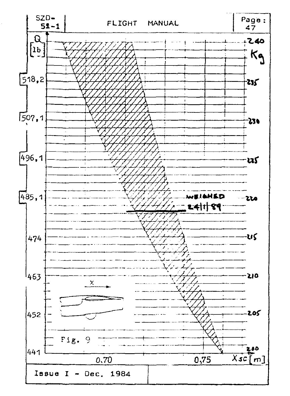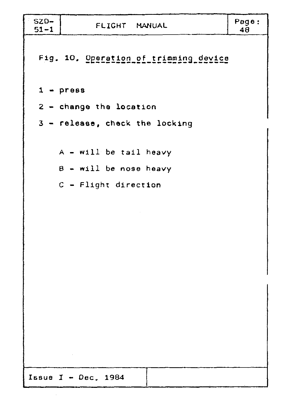| $SZD-$<br>$51 - 1$ | FLIGHT MANUAL                                                              | Page:<br>48 |
|--------------------|----------------------------------------------------------------------------|-------------|
|                    | Fig. 10. Operation of trimming device                                      |             |
|                    | $1 -$ press                                                                |             |
|                    | 2 - change the location                                                    |             |
|                    | 3 - release, check the locking                                             |             |
|                    | A - will be tail heavy<br>B - will be nose heavy<br>$C$ - Flight direction |             |
|                    |                                                                            |             |
|                    |                                                                            |             |
|                    |                                                                            |             |
|                    |                                                                            |             |
|                    |                                                                            |             |
|                    | $\sim 10^{11}$ km                                                          |             |
|                    | Issue $I - Dec. 1984$                                                      |             |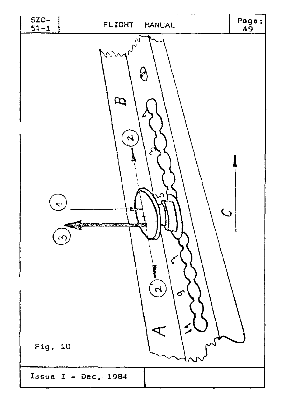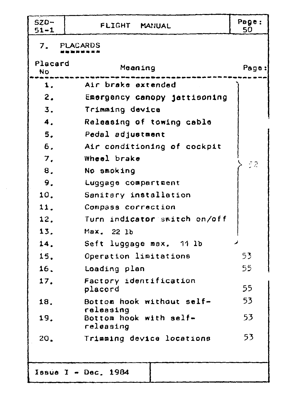| $SZD-$<br>$51 - 1$ | FLIGHT MANUAL                                    | Page:<br>50 |  |  |  |
|--------------------|--------------------------------------------------|-------------|--|--|--|
| 7.7                | PLACARDS                                         |             |  |  |  |
| Placard<br>No.     | Meaning                                          | Page:       |  |  |  |
| 1.                 | Air brake extended                               |             |  |  |  |
| 2.                 | Emergency canopy jettisoning                     |             |  |  |  |
| 3.                 | Trimming device                                  |             |  |  |  |
| 4.                 | Releasing of towing cable                        |             |  |  |  |
| 5.                 | Pedal adjustment                                 |             |  |  |  |
| 6.                 | Air conditioning of cockpit                      |             |  |  |  |
| $\overline{J}$ .   | Wheel brake                                      | 52          |  |  |  |
| 8.                 | No smoking                                       |             |  |  |  |
| 9.                 | Luggage compartment                              |             |  |  |  |
| 10.                | Sanitary installation                            |             |  |  |  |
| 11.                | Compass correction                               |             |  |  |  |
| 12.                | Turn indicator switch on/off                     |             |  |  |  |
| 13.                | Max. 22 1b                                       |             |  |  |  |
| 14.                | Seft luggage max. 11 lb                          |             |  |  |  |
| 15.                | Operation limitations                            | 53          |  |  |  |
| 16.                | Loading plan                                     | 55          |  |  |  |
| 17.                | Factory identification<br>placord                | 55          |  |  |  |
| 18.                | Bottom hook without self-                        | 53          |  |  |  |
| 19.                | releasing<br>Bottom hook with self-<br>releasing | 53          |  |  |  |
| 20.                | Trimming device locations                        | 53          |  |  |  |
|                    | Issue I - Dec. 1984                              |             |  |  |  |

 $\bar{\beta}$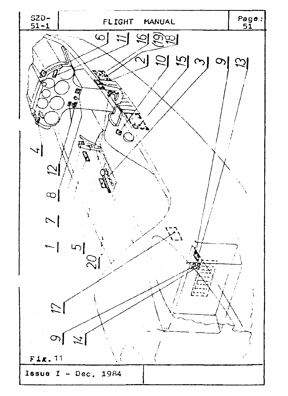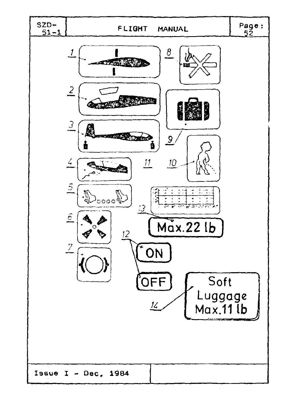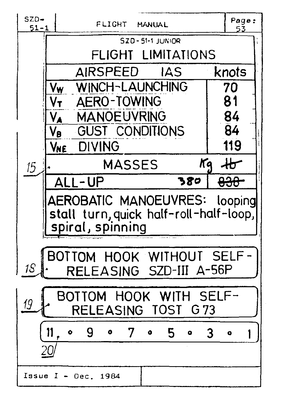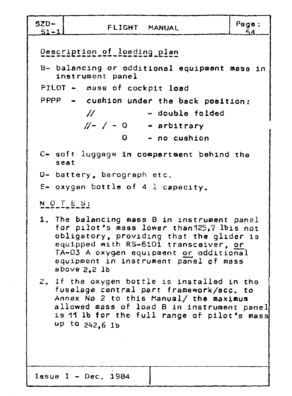| $5ZD-$<br>Page:<br>FLIGHT MANUAL<br>$51 - 1$<br>54.                                                                                                                                                                                                                                  |
|--------------------------------------------------------------------------------------------------------------------------------------------------------------------------------------------------------------------------------------------------------------------------------------|
| Description of loading plan<br>B- balancing or odditional equipment mass in<br>instrument panel<br>PILOT - mass of cockpit load<br>PPPP - cushion under the back position:<br>$H$ and $\overline{H}$<br>- double folded<br>$// - / - 0$ - arbitrary<br>- no cushion<br>0.            |
| C- soft luggage in compartment behind the<br>seat                                                                                                                                                                                                                                    |
| D- battery, barograph etc.<br>$E-$ oxygen bottle of 4 1 capacity.                                                                                                                                                                                                                    |
| $N$ O T E S:                                                                                                                                                                                                                                                                         |
| 1. The balancing mass B in instrument panel<br>for pilot's mass lower than 125,7 lbis not<br>obligatory, providing that the glider is<br>equipped with RS-6101 transcaiver, or<br>TA-03 A oxygen equipment or additional<br>equipment in instrument panel of mass<br>above $2, 2$ lb |
| 2. If the oxygen bottle is installed in the<br>fuselage central part framework/acc. to<br>Annex No 2 to this Manual/ the maximum<br>allowed mass of load B in instrument panel<br>is 11 lb for the full range of pilot's mass<br>up to 242,6 lb                                      |
| Issue $I - Dec. 1984$                                                                                                                                                                                                                                                                |

 $\sim$  $\sim$   $\sim$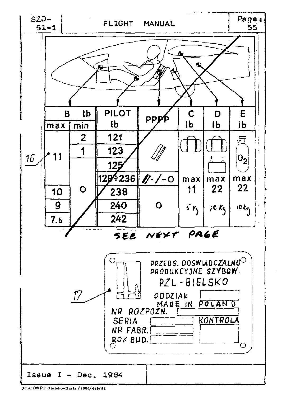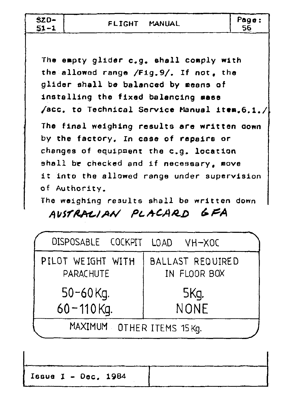| $$ZD-$<br>$51 - 1$ | FLIGHT MANUAL | Page: |
|--------------------|---------------|-------|
|                    |               |       |

The empty glider c.g. shall comply with the allowod range /Fig.9/. If not, the glider shall be balanced by means of installing the fixed balancing mass /acc. to Technical Service Manual item.6.1./ The final weighing results are written oown by the factory. In case of repairs or changes of equipment the e.g. location shall be checked and if necessary, move it into the allowed range under supervision of Authority.

The weighing results shall be written down AUSTRALIAN PLACARD GFA

| DISPOSABLE COCKPIT LOAD VH-XOC        |                                  |
|---------------------------------------|----------------------------------|
| PILOT WEIGHT WITH<br><b>PARACHUTE</b> | BALLAST REQUIRED<br>IN FLOOR BOX |
| $50 - 60$ Kg.                         | 5Kg.                             |
| $60 - 110$ Kg.                        | <b>NONE</b>                      |
| MAXIMUM OTHER ITEMS 15Kg.             |                                  |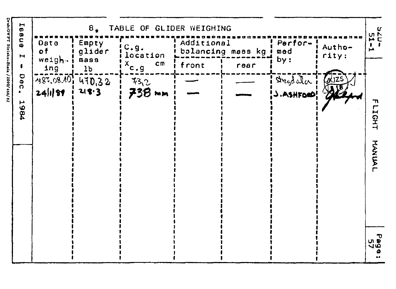